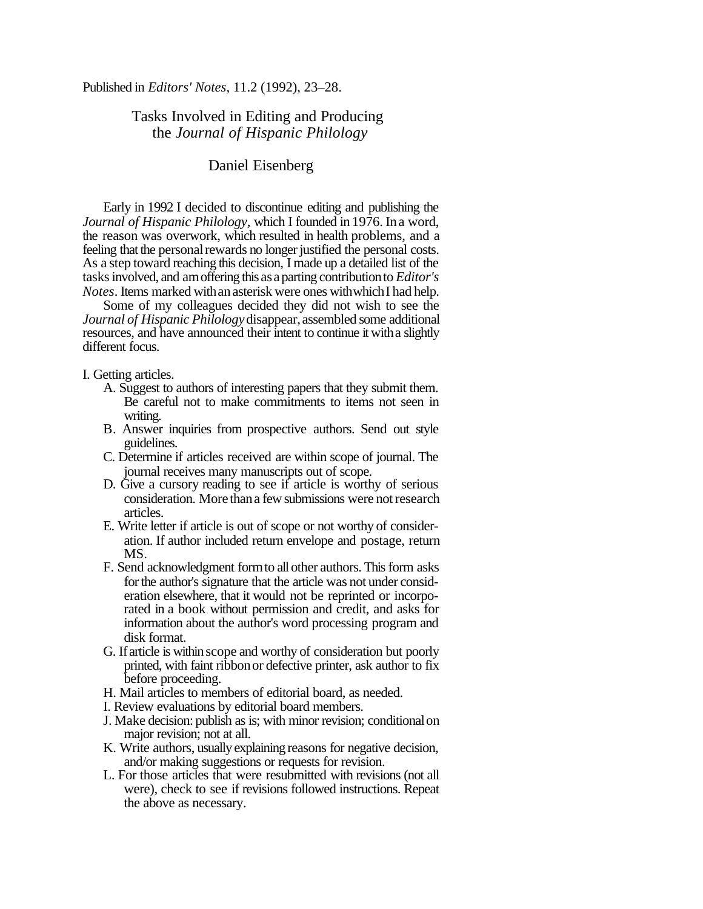Published in *Editors' Notes*, 11.2 (1992), 23–28.

## Tasks Involved in Editing and Producing the *Journal of Hispanic Philology*

## Daniel Eisenberg

Early in 1992 I decided to discontinue editing and publishing the *Journal of Hispanic Philology, which I founded in 1976. In a word,* the reason was overwork, which resulted in health problems, and a feeling that the personal rewards no longer justified the personal costs. As a step toward reaching this decision, I made up a detailed list of the tasksinvolved, and amoffering this as aparting contributionto *Editor's Notes*. Items marked with an asterisk were ones with which I had help.

Some of my colleagues decided they did not wish to see the *Journal of Hispanic Philology* disappear, assembled some additional resources, and have announced their intent to continue it witha slightly different focus.

I. Getting articles.

- A. Suggest to authors of interesting papers that they submit them. Be careful not to make commitments to items not seen in writing.
- B. Answer inquiries from prospective authors. Send out style guidelines.
- C. Determine if articles received are within scope of journal. The journal receives many manuscripts out of scope.
- D. Give a cursory reading to see if article is worthy of serious consideration. More thana few submissions were notresearch articles.
- E. Write letter if article is out of scope or not worthy of consideration. If author included return envelope and postage, return MS.
- F. Send acknowledgment form to all other authors. This form asks for the author's signature that the article was not under consideration elsewhere, that it would not be reprinted or incorporated in a book without permission and credit, and asks for information about the author's word processing program and disk format.
- G. Ifarticle is within scope and worthy of consideration but poorly printed, with faint ribbonor defective printer, ask author to fix before proceeding.
- H. Mail articles to members of editorial board, as needed.
- I. Review evaluations by editorial board members.
- J. Make decision: publish as is; with minor revision; conditionalon major revision; not at all.
- K. Write authors, usually explaining reasons for negative decision, and/or making suggestions or requests for revision.
- L. For those articles that were resubmitted with revisions (not all were), check to see if revisions followed instructions. Repeat the above as necessary.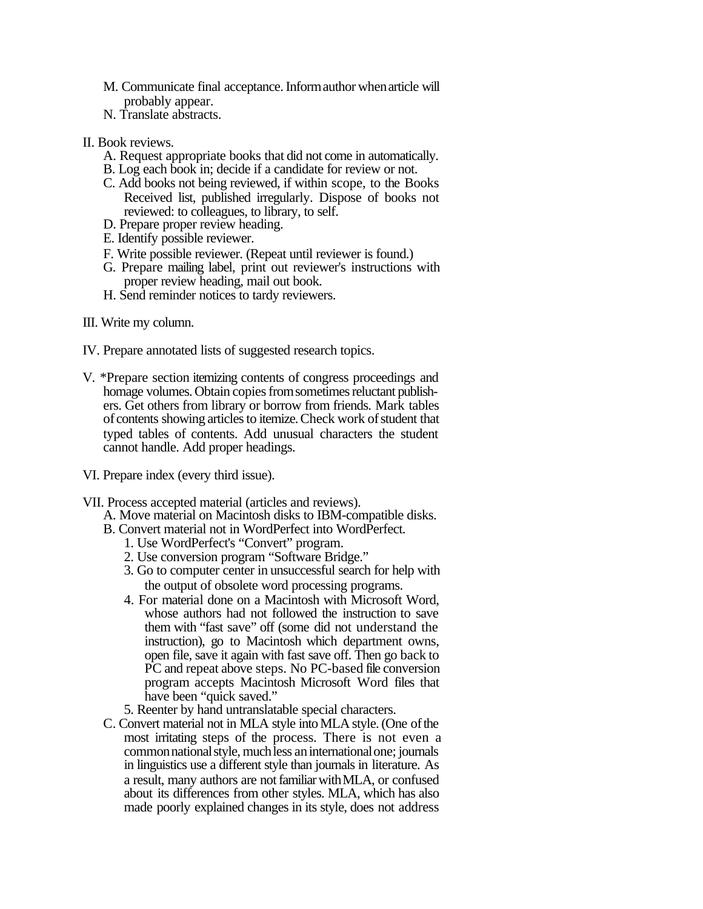- M. Communicate final acceptance. Informauthor when article will probably appear.
- N. Translate abstracts.
- II. Book reviews.
	- A. Request appropriate books that did not come in automatically.
	- B. Log each book in; decide if a candidate for review or not.
	- C. Add books not being reviewed, if within scope, to the Books Received list, published irregularly. Dispose of books not reviewed: to colleagues, to library, to self.
	- D. Prepare proper review heading.
	- E. Identify possible reviewer.
	- F. Write possible reviewer. (Repeat until reviewer is found.)
	- G. Prepare mailing label, print out reviewer's instructions with proper review heading, mail out book.
	- H. Send reminder notices to tardy reviewers.
- III. Write my column.
- IV. Prepare annotated lists of suggested research topics.
- V. \*Prepare section itemizing contents of congress proceedings and homage volumes. Obtain copies from sometimes reluctant publishers. Get others from library or borrow from friends. Mark tables of contents showing articles to itemize. Check work of student that typed tables of contents. Add unusual characters the student cannot handle. Add proper headings.
- VI. Prepare index (every third issue).
- VII. Process accepted material (articles and reviews).
	- A. Move material on Macintosh disks to IBM-compatible disks.
	- B. Convert material not in WordPerfect into WordPerfect.
		- 1. Use WordPerfect's "Convert" program.
		- 2. Use conversion program "Software Bridge."
		- 3. Go to computer center in unsuccessful search for help with the output of obsolete word processing programs.
		- 4. For material done on a Macintosh with Microsoft Word, whose authors had not followed the instruction to save them with "fast save" off (some did not understand the instruction), go to Macintosh which department owns, open file, save it again with fast save off. Then go back to PC and repeat above steps. No PC-based file conversion program accepts Macintosh Microsoft Word files that have been "quick saved."
		- 5. Reenter by hand untranslatable special characters.
	- C. Convert material not in MLA style into MLA style. (One of the most irritating steps of the process. There is not even a common national style, much less an international one; journals in linguistics use a different style than journals in literature. As a result, many authors are not familiar with MLA, or confused about its differences from other styles. MLA, which has also made poorly explained changes in its style, does not address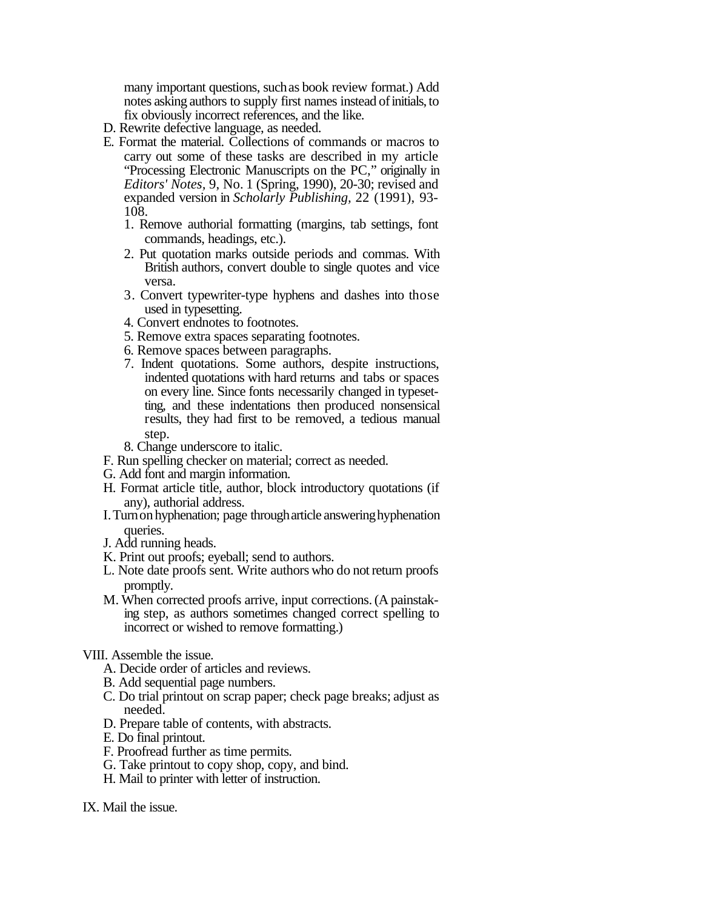many important questions, suchas book review format.) Add notes asking authors to supply first names instead of initials, to fix obviously incorrect references, and the like.

- D. Rewrite defective language, as needed.
- E. Format the material. Collections of commands or macros to carry out some of these tasks are described in my article "Processing Electronic Manuscripts on the PC," originally in *Editors' Notes,* 9, No. 1 (Spring, 1990), 20-30; revised and expanded version in *Scholarly Publishing,* 22 (1991), 93- 108.
	- 1. Remove authorial formatting (margins, tab settings, font commands, headings, etc.).
	- 2. Put quotation marks outside periods and commas. With British authors, convert double to single quotes and vice versa.
	- 3. Convert typewriter-type hyphens and dashes into those used in typesetting.
	- 4. Convert endnotes to footnotes.
	- 5. Remove extra spaces separating footnotes.
	- 6. Remove spaces between paragraphs.
	- 7. Indent quotations. Some authors, despite instructions, indented quotations with hard returns and tabs or spaces on every line. Since fonts necessarily changed in typesetting, and these indentations then produced nonsensical results, they had first to be removed, a tedious manual step.
	- 8. Change underscore to italic.
- F. Run spelling checker on material; correct as needed.
- G. Add font and margin information.
- H. Format article title, author, block introductory quotations (if any), authorial address.
- I. Turn on hyphenation; page through article answering hyphenation queries.
- J. Add running heads.
- K. Print out proofs; eyeball; send to authors.
- L. Note date proofs sent. Write authors who do not return proofs promptly.
- M. When corrected proofs arrive, input corrections.(A painstaking step, as authors sometimes changed correct spelling to incorrect or wished to remove formatting.)
- VIII. Assemble the issue.
	- A. Decide order of articles and reviews.
	- B. Add sequential page numbers.
	- C. Do trial printout on scrap paper; check page breaks; adjust as needed.
	- D. Prepare table of contents, with abstracts.
	- E. Do final printout.
	- F. Proofread further as time permits.
	- G. Take printout to copy shop, copy, and bind.
	- H. Mail to printer with letter of instruction.
- IX. Mail the issue.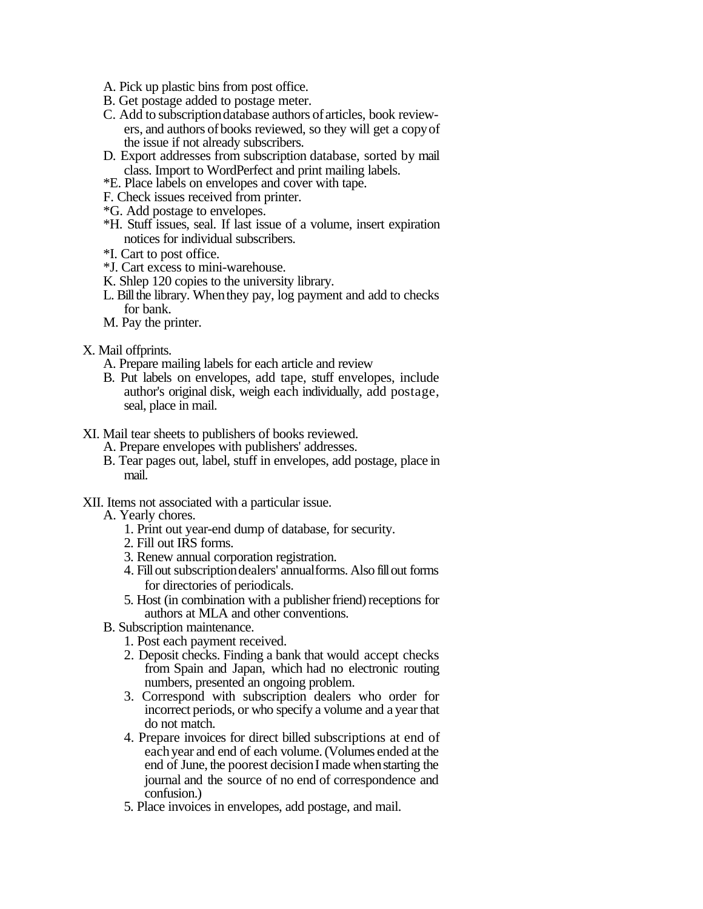- A. Pick up plastic bins from post office.
- B. Get postage added to postage meter.
- C. Add to subscriptiondatabase authors of articles, book reviewers, and authors ofbooks reviewed, so they will get a copyof the issue if not already subscribers.
- D. Export addresses from subscription database, sorted by mail class. Import to WordPerfect and print mailing labels.
- \*E. Place labels on envelopes and cover with tape.
- F. Check issues received from printer.
- \*G. Add postage to envelopes.
- \*H. Stuff issues, seal. If last issue of a volume, insert expiration notices for individual subscribers.
- \*I. Cart to post office.
- \*J. Cart excess to mini-warehouse.
- K. Shlep 120 copies to the university library.
- L. Bill the library. When they pay, log payment and add to checks for bank.
- M. Pay the printer.
- X. Mail offprints.
	- A. Prepare mailing labels for each article and review
	- B. Put labels on envelopes, add tape, stuff envelopes, include author's original disk, weigh each individually, add postage, seal, place in mail.
- XI. Mail tear sheets to publishers of books reviewed.
	- A. Prepare envelopes with publishers' addresses.
	- B. Tear pages out, label, stuff in envelopes, add postage, place in mail.
- XII. Items not associated with a particular issue.
	- A. Yearly chores.
		- 1. Print out year-end dump of database, for security.
		- 2. Fill out IRS forms.
		- 3. Renew annual corporation registration.
		- 4. Fillout subscriptiondealers' annualforms. Also fillout forms for directories of periodicals.
		- 5. Host (in combination with a publisher friend) receptions for authors at MLA and other conventions.
	- B. Subscription maintenance.
		- 1. Post each payment received.
		- 2. Deposit checks. Finding a bank that would accept checks from Spain and Japan, which had no electronic routing numbers, presented an ongoing problem.
		- 3. Correspond with subscription dealers who order for incorrect periods, or who specify a volume and a yearthat do not match.
		- 4. Prepare invoices for direct billed subscriptions at end of eachyear and end of each volume.(Volumes ended at the end of June, the poorest decision I made when starting the journal and the source of no end of correspondence and confusion.)
		- 5. Place invoices in envelopes, add postage, and mail.